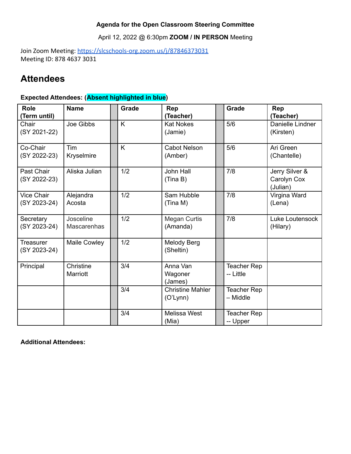### **Agenda for the Open Classroom Steering Committee**

April 12, 2022 @ 6:30pm **ZOOM / IN PERSON** Meeting

Join Zoom Meeting: <https://slcschools-org.zoom.us/j/87846373031> Meeting ID: 878 4637 3031

# **Attendees**

## **Expected Attendees: (Absent highlighted in blue)**

| <b>Role</b><br>(Term until)      | <b>Name</b>                     | Grade | Rep<br>(Teacher)                    | Grade                    | Rep<br>(Teacher)                          |
|----------------------------------|---------------------------------|-------|-------------------------------------|--------------------------|-------------------------------------------|
| Chair<br>(SY 2021-22)            | Joe Gibbs                       | K     | <b>Kat Nokes</b><br>(Jamie)         | 5/6                      | Danielle Lindner<br>(Kirsten)             |
| Co-Chair<br>(SY 2022-23)         | Tim<br>Kryselmire               | K     | <b>Cabot Nelson</b><br>(Amber)      | 5/6                      | Ari Green<br>(Chantelle)                  |
| Past Chair<br>(SY 2022-23)       | Aliska Julian                   | 1/2   | John Hall<br>(Tina B)               | 7/8                      | Jerry Silver &<br>Carolyn Cox<br>(Julian) |
| Vice Chair<br>(SY 2023-24)       | Alejandra<br>Acosta             | 1/2   | Sam Hubble<br>(Tina M)              | 7/8                      | Virgina Ward<br>(Lena)                    |
| Secretary<br>(SY 2023-24)        | Josceline<br><b>Mascarenhas</b> | 1/2   | <b>Megan Curtis</b><br>(Amanda)     | 7/8                      | Luke Loutensock<br>(Hilary)               |
| <b>Treasurer</b><br>(SY 2023-24) | <b>Maile Cowley</b>             | 1/2   | Melody Berg<br>(Sheltin)            |                          |                                           |
| Principal                        | Christine<br>Marriott           | 3/4   | Anna Van<br>Wagoner<br>(James)      | Teacher Rep<br>-- Little |                                           |
|                                  |                                 | 3/4   | <b>Christine Mahler</b><br>(O'Lynn) | Teacher Rep<br>- Middle  |                                           |
|                                  |                                 | 3/4   | Melissa West<br>(Mia)               | Teacher Rep<br>-- Upper  |                                           |

**Additional Attendees:**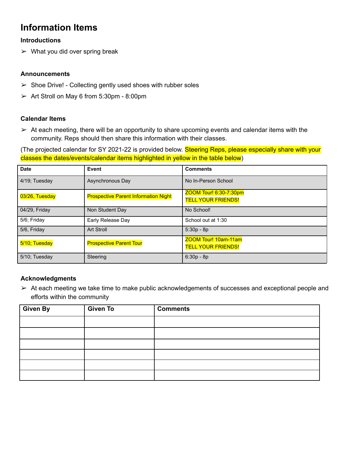# **Information Items**

#### **Introductions**

 $\triangleright$  What you did over spring break

#### **Announcements**

- $\triangleright$  Shoe Drive! Collecting gently used shoes with rubber soles
- $\geq$  Art Stroll on May 6 from 5:30pm 8:00pm

#### **Calendar Items**

 $\geq$  At each meeting, there will be an opportunity to share upcoming events and calendar items with the community. Reps should then share this information with their classes.

(The projected calendar for SY 2021-22 is provided below. Steering Reps, please especially share with your classes the dates/events/calendar items highlighted in yellow in the table below)

| <b>Date</b>    | Event                                       | <b>Comments</b>                                     |
|----------------|---------------------------------------------|-----------------------------------------------------|
| 4/19; Tuesday  | Asynchronous Day                            | No In-Person School                                 |
| 03/26, Tuesday | <b>Prospective Parent Information Night</b> | ZOOM Tour! 6:30-7:30pm<br><b>TELL YOUR FRIENDS!</b> |
| 04/29, Friday  | Non Student Day                             | No School!                                          |
| 5/6; Friday    | Early Release Day                           | School out at 1:30                                  |
| 5/6, Friday    | <b>Art Stroll</b>                           | $5:30p - 8p$                                        |
| 5/10; Tuesday  | <b>Prospective Parent Tour</b>              | ZOOM Tour! 10am-11am<br><b>TELL YOUR FRIENDS!</b>   |
| 5/10; Tuesday  | Steering                                    | $6:30p - 8p$                                        |

### **Acknowledgments**

 $\triangleright$  At each meeting we take time to make public acknowledgements of successes and exceptional people and efforts within the community

| Given By | <b>Given To</b> | <b>Comments</b> |
|----------|-----------------|-----------------|
|          |                 |                 |
|          |                 |                 |
|          |                 |                 |
|          |                 |                 |
|          |                 |                 |
|          |                 |                 |